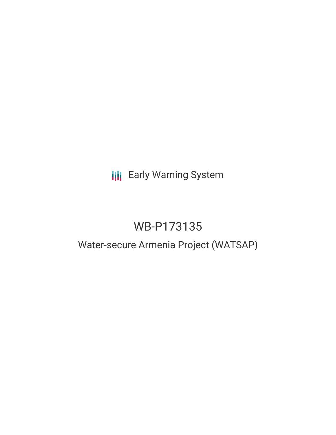## **III** Early Warning System

# WB-P173135

### Water-secure Armenia Project (WATSAP)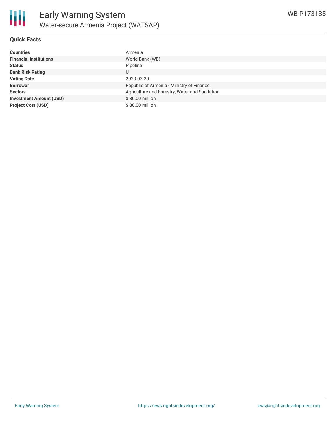

#### **Quick Facts**

| <b>Countries</b>               | Armenia                                        |
|--------------------------------|------------------------------------------------|
| <b>Financial Institutions</b>  | World Bank (WB)                                |
| <b>Status</b>                  | Pipeline                                       |
| <b>Bank Risk Rating</b>        |                                                |
| <b>Voting Date</b>             | 2020-03-20                                     |
| <b>Borrower</b>                | Republic of Armenia - Ministry of Finance      |
| <b>Sectors</b>                 | Agriculture and Forestry, Water and Sanitation |
| <b>Investment Amount (USD)</b> | \$80.00 million                                |
| <b>Project Cost (USD)</b>      | \$80.00 million                                |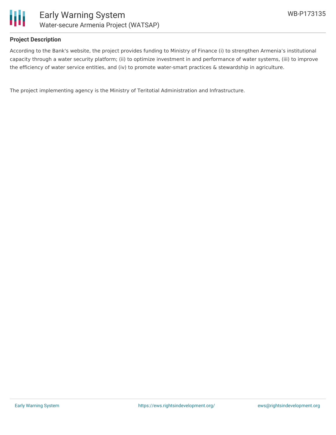

#### **Project Description**

According to the Bank's website, the project provides funding to Ministry of Finance (i) to strengthen Armenia's institutional capacity through a water security platform; (ii) to optimize investment in and performance of water systems, (iii) to improve the efficiency of water service entities, and (iv) to promote water-smart practices & stewardship in agriculture.

The project implementing agency is the Ministry of Teritotial Administration and Infrastructure.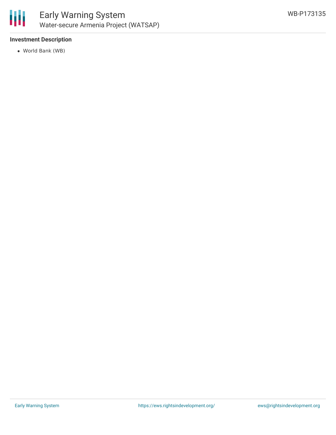

#### **Investment Description**

World Bank (WB)